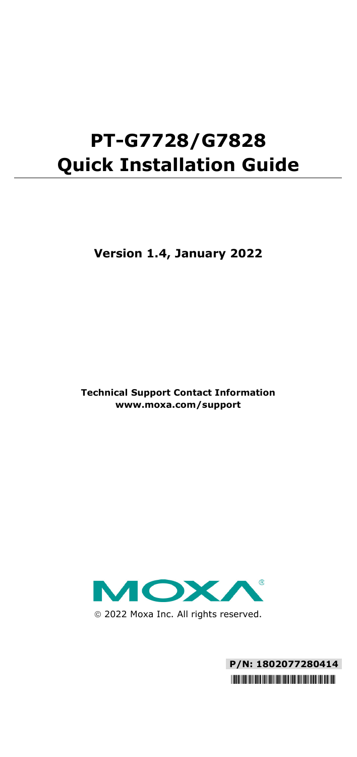# **PT-G7728/G7828 Quick Installation Guide**

**Version 1.4, January 2022**

**Technical Support Contact Information www.moxa.com/support**



2022 Moxa Inc. All rights reserved.

**P/N: 1802077280414** \*1802077280414\*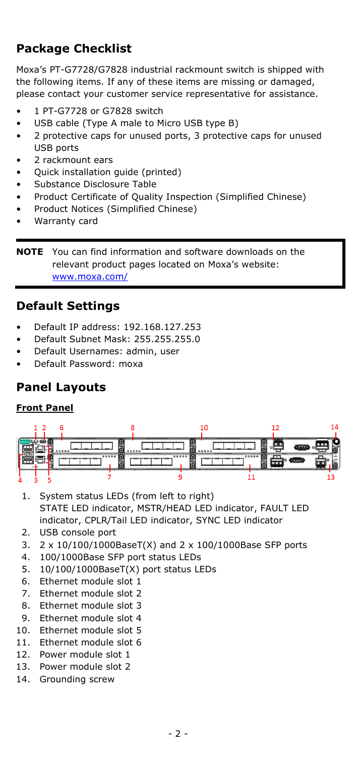# **Package Checklist**

Moxa's PT-G7728/G7828 industrial rackmount switch is shipped with the following items. If any of these items are missing or damaged, please contact your customer service representative for assistance.

- 1 PT-G7728 or G7828 switch
- USB cable (Type A male to Micro USB type B)
- 2 protective caps for unused ports, 3 protective caps for unused USB ports
- 2 rackmount ears
- Quick installation guide (printed)
- Substance Disclosure Table
- Product Certificate of Quality Inspection (Simplified Chinese)
- Product Notices (Simplified Chinese)
- Warranty card

**NOTE** You can find information and software downloads on the relevant product pages located on Moxa's website: [www.moxa.com/](https://www.moxa.com/doc/operations/Moxa_Patent_Marking.pdf)

#### **Default Settings**

- Default IP address: 192.168.127.253
- Default Subnet Mask: 255.255.255.0
- Default Usernames: admin, user
- Default Password: moxa

#### **Panel Layouts**

#### **Front Panel**



- 1. System status LEDs (from left to right) STATE LED indicator, MSTR/HEAD LED indicator, FAULT LED indicator, CPLR/Tail LED indicator, SYNC LED indicator
- 2. USB console port
- 3. 2 x 10/100/1000BaseT(X) and 2 x 100/1000Base SFP ports
- 4. 100/1000Base SFP port status LEDs
- 5. 10/100/1000BaseT(X) port status LEDs
- 6. Ethernet module slot 1
- 7. Ethernet module slot 2
- 8. Ethernet module slot 3
- 9. Ethernet module slot 4
- 10. Ethernet module slot 5
- 11. Ethernet module slot 6
- 12. Power module slot 1
- 13. Power module slot 2
- 14. Grounding screw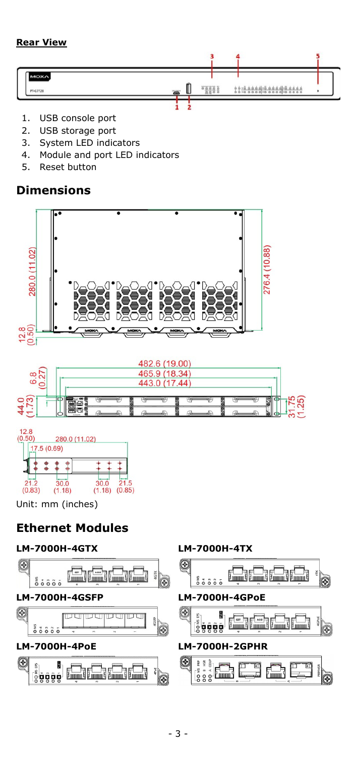#### **Rear View**



- 1. USB console port
- 2. USB storage port<br>3. System LED indic
- System LED indicators
- 4. Module and port LED indicators
- 5. Reset button

#### **Dimensions**



 $\overline{30.0}$  21.5<br>(1.18) (0.85)  $30.0$  $(0.83)$  $(1.18)$ Unit: mm (inches)

# **Ethernet Modules**

#### **LM-7000H-4GTX LM-7000H-4TX**

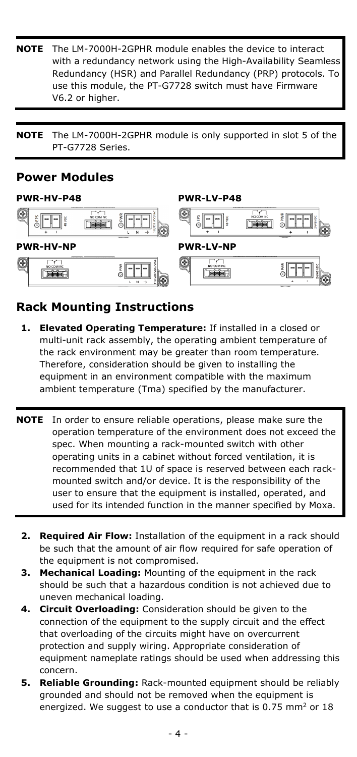- **NOTE** The LM-7000H-2GPHR module enables the device to interact with a redundancy network using the High-Availability Seamless Redundancy (HSR) and Parallel Redundancy (PRP) protocols. To use this module, the PT-G7728 switch must have Firmware V6.2 or higher.
- **NOTE** The LM-7000H-2GPHR module is only supported in slot 5 of the PT-G7728 Series.

## **Power Modules**



# **Rack Mounting Instructions**

- **1. Elevated Operating Temperature:** If installed in a closed or multi-unit rack assembly, the operating ambient temperature of the rack environment may be greater than room temperature. Therefore, consideration should be given to installing the equipment in an environment compatible with the maximum ambient temperature (Tma) specified by the manufacturer.
- **NOTE** In order to ensure reliable operations, please make sure the operation temperature of the environment does not exceed the spec. When mounting a rack-mounted switch with other operating units in a cabinet without forced ventilation, it is recommended that 1U of space is reserved between each rackmounted switch and/or device. It is the responsibility of the user to ensure that the equipment is installed, operated, and used for its intended function in the manner specified by Moxa.
	- **2. Required Air Flow:** Installation of the equipment in a rack should be such that the amount of air flow required for safe operation of the equipment is not compromised.
	- **3. Mechanical Loading:** Mounting of the equipment in the rack should be such that a hazardous condition is not achieved due to uneven mechanical loading.
	- **4. Circuit Overloading:** Consideration should be given to the connection of the equipment to the supply circuit and the effect that overloading of the circuits might have on overcurrent protection and supply wiring. Appropriate consideration of equipment nameplate ratings should be used when addressing this concern.
	- **5. Reliable Grounding:** Rack-mounted equipment should be reliably grounded and should not be removed when the equipment is energized. We suggest to use a conductor that is 0.75 mm<sup>2</sup> or 18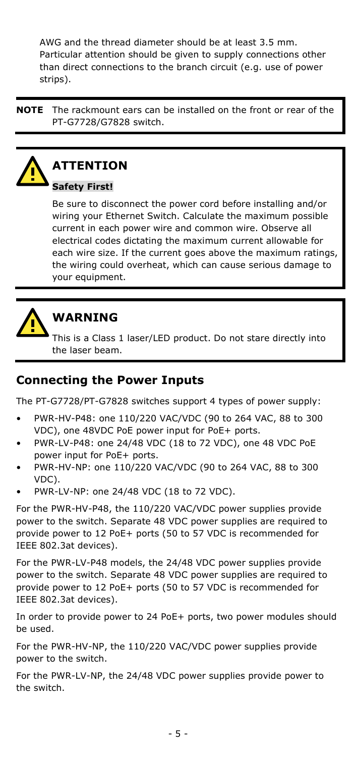AWG and the thread diameter should be at least 3.5 mm. Particular attention should be given to supply connections other than direct connections to the branch circuit (e.g. use of power strips).

**NOTE** The rackmount ears can be installed on the front or rear of the PT-G7728/G7828 switch.



# **ATTENTION**

#### **Safety First!**

Be sure to disconnect the power cord before installing and/or wiring your Ethernet Switch. Calculate the maximum possible current in each power wire and common wire. Observe all electrical codes dictating the maximum current allowable for each wire size. If the current goes above the maximum ratings, the wiring could overheat, which can cause serious damage to your equipment.



# **WARNING**

This is a Class 1 laser/LED product. Do not stare directly into the laser beam.

# **Connecting the Power Inputs**

The PT-G7728/PT-G7828 switches support 4 types of power supply:

- PWR-HV-P48: one 110/220 VAC/VDC (90 to 264 VAC, 88 to 300 VDC), one 48VDC PoE power input for PoE+ ports.
- PWR-LV-P48: one 24/48 VDC (18 to 72 VDC), one 48 VDC PoE power input for PoE+ ports.
- PWR-HV-NP: one 110/220 VAC/VDC (90 to 264 VAC, 88 to 300 VDC).
- PWR-LV-NP: one 24/48 VDC (18 to 72 VDC).

For the PWR-HV-P48, the 110/220 VAC/VDC power supplies provide power to the switch. Separate 48 VDC power supplies are required to provide power to 12 PoE+ ports (50 to 57 VDC is recommended for IEEE 802.3at devices).

For the PWR-LV-P48 models, the 24/48 VDC power supplies provide power to the switch. Separate 48 VDC power supplies are required to provide power to 12 PoE+ ports (50 to 57 VDC is recommended for IEEE 802.3at devices).

In order to provide power to 24 PoE+ ports, two power modules should be used.

For the PWR-HV-NP, the 110/220 VAC/VDC power supplies provide power to the switch.

For the PWR-LV-NP, the 24/48 VDC power supplies provide power to the switch.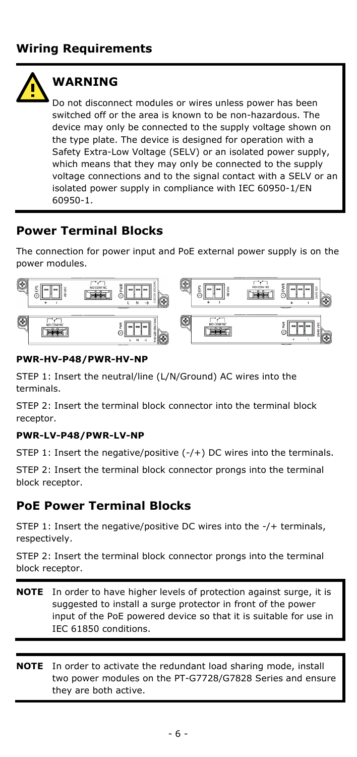

# **WARNTNG**

Do not disconnect modules or wires unless power has been switched off or the area is known to be non-hazardous. The device may only be connected to the supply voltage shown on the type plate. The device is designed for operation with a Safety Extra-Low Voltage (SELV) or an isolated power supply, which means that they may only be connected to the supply voltage connections and to the signal contact with a SELV or an isolated power supply in compliance with IEC 60950-1/EN 60950-1.

# **Power Terminal Blocks**

The connection for power input and PoE external power supply is on the power modules.



#### **PWR-HV-P48/PWR-HV-NP**

STEP 1: Insert the neutral/line (L/N/Ground) AC wires into the terminals.

STEP 2: Insert the terminal block connector into the terminal block receptor.

#### **PWR-LV-P48/PWR-LV-NP**

STEP 1: Insert the negative/positive (-/+) DC wires into the terminals.

STEP 2: Insert the terminal block connector prongs into the terminal block receptor.

# **PoE Power Terminal Blocks**

STEP 1: Insert the negative/positive DC wires into the -/+ terminals, respectively.

STEP 2: Insert the terminal block connector prongs into the terminal block receptor.

- **NOTE** In order to have higher levels of protection against surge, it is suggested to install a surge protector in front of the power input of the PoE powered device so that it is suitable for use in IEC 61850 conditions.
- **NOTE** In order to activate the redundant load sharing mode, install two power modules on the PT-G7728/G7828 Series and ensure they are both active.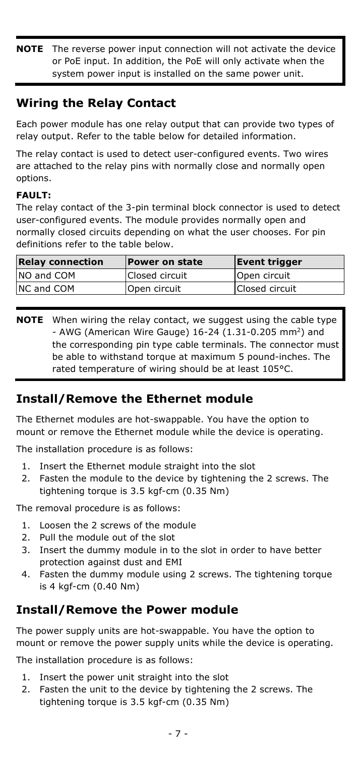**NOTE** The reverse power input connection will not activate the device or PoE input. In addition, the PoE will only activate when the system power input is installed on the same power unit.

## **Wiring the Relay Contact**

Each power module has one relay output that can provide two types of relay output. Refer to the table below for detailed information.

The relay contact is used to detect user-configured events. Two wires are attached to the relay pins with normally close and normally open options.

#### **FAULT:**

The relay contact of the 3-pin terminal block connector is used to detect user-configured events. The module provides normally open and normally closed circuits depending on what the user chooses. For pin definitions refer to the table below.

| <b>Relay connection</b> | <b>Power on state</b> | Event trigger  |
|-------------------------|-----------------------|----------------|
| NO and COM              | Closed circuit        | Open circuit   |
| NC and COM              | Open circuit          | Closed circuit |

**NOTE** When wiring the relay contact, we suggest using the cable type - AWG (American Wire Gauge)  $16-24$  (1.31-0.205 mm<sup>2</sup>) and the corresponding pin type cable terminals. The connector must be able to withstand torque at maximum 5 pound-inches. The rated temperature of wiring should be at least 105°C.

#### **Install/Remove the Ethernet module**

The Ethernet modules are hot-swappable. You have the option to mount or remove the Ethernet module while the device is operating.

The installation procedure is as follows:

- 1. Insert the Ethernet module straight into the slot
- 2. Fasten the module to the device by tightening the 2 screws. The tightening torque is 3.5 kgf-cm (0.35 Nm)

The removal procedure is as follows:

- 1. Loosen the 2 screws of the module
- 2. Pull the module out of the slot
- 3. Insert the dummy module in to the slot in order to have better protection against dust and EMI
- 4. Fasten the dummy module using 2 screws. The tightening torque is 4 kgf-cm (0.40 Nm)

#### **Install/Remove the Power module**

The power supply units are hot-swappable. You have the option to mount or remove the power supply units while the device is operating.

The installation procedure is as follows:

- 1. Insert the power unit straight into the slot
- 2. Fasten the unit to the device by tightening the 2 screws. The tightening torque is 3.5 kgf-cm (0.35 Nm)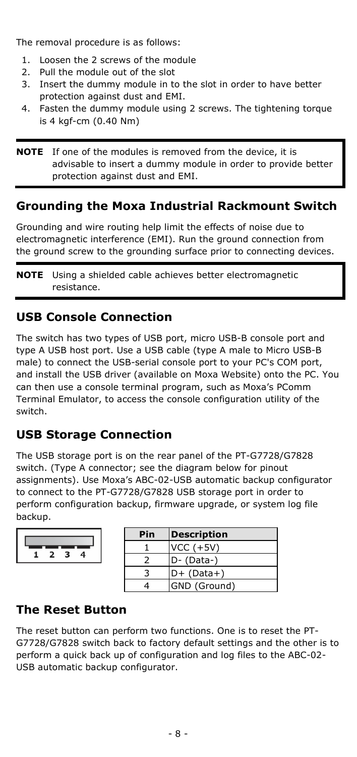The removal procedure is as follows:

- 1. Loosen the 2 screws of the module
- 2. Pull the module out of the slot
- 3. Insert the dummy module in to the slot in order to have better protection against dust and EMI.
- 4. Fasten the dummy module using 2 screws. The tightening torque is 4 kgf-cm (0.40 Nm)

**NOTE** If one of the modules is removed from the device, it is advisable to insert a dummy module in order to provide better protection against dust and EMI.

## **Grounding the Moxa Industrial Rackmount Switch**

Grounding and wire routing help limit the effects of noise due to electromagnetic interference (EMI). Run the ground connection from the ground screw to the grounding surface prior to connecting devices.

**NOTE** Using a shielded cable achieves better electromagnetic resistance.

# **USB Console Connection**

The switch has two types of USB port, micro USB-B console port and type A USB host port. Use a USB cable (type A male to Micro USB-B male) to connect the USB-serial console port to your PC's COM port, and install the USB driver (available on Moxa Website) onto the PC. You can then use a console terminal program, such as Moxa's PComm Terminal Emulator, to access the console configuration utility of the switch.

# **USB Storage Connection**

The USB storage port is on the rear panel of the PT-G7728/G7828 switch. (Type A connector; see the diagram below for pinout assignments). Use Moxa's ABC-02-USB automatic backup configurator to connect to the PT-G7728/G7828 USB storage port in order to perform configuration backup, firmware upgrade, or system log file backup.



| Pin | <b>Description</b> |
|-----|--------------------|
|     | $VCC (+5V)$        |
|     | D- (Data-)         |
|     | $D+ (Data+)$       |
|     | GND (Ground)       |

# **The Reset Button**

The reset button can perform two functions. One is to reset the PT-G7728/G7828 switch back to factory default settings and the other is to perform a quick back up of configuration and log files to the ABC-02- USB automatic backup configurator.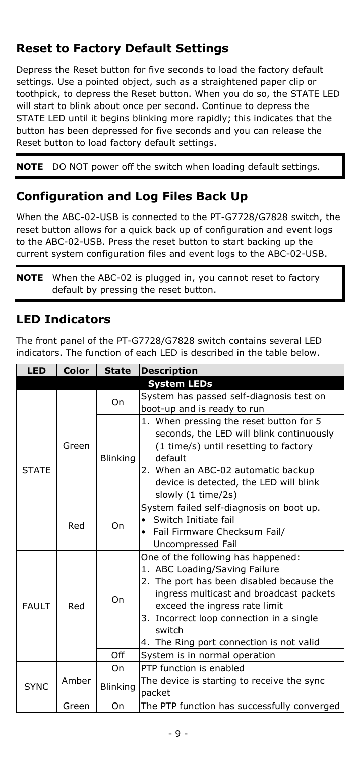# **Reset to Factory Default Settings**

Depress the Reset button for five seconds to load the factory default settings. Use a pointed object, such as a straightened paper clip or toothpick, to depress the Reset button. When you do so, the STATE LED will start to blink about once per second. Continue to depress the STATE LED until it begins blinking more rapidly; this indicates that the button has been depressed for five seconds and you can release the Reset button to load factory default settings.

**NOTE** DO NOT power off the switch when loading default settings.

## **Configuration and Log Files Back Up**

When the ABC-02-USB is connected to the PT-G7728/G7828 switch, the reset button allows for a quick back up of configuration and event logs to the ABC-02-USB. Press the reset button to start backing up the current system configuration files and event logs to the ABC-02-USB.

**NOTE** When the ABC-02 is plugged in, you cannot reset to factory default by pressing the reset button.

#### **LED Indicators**

The front panel of the PT-G7728/G7828 switch contains several LED indicators. The function of each LED is described in the table below.

| <b>LED</b>   | Color | <b>State</b>    | <b>Description</b>                                                                                                                                                                                                                                                                             |
|--------------|-------|-----------------|------------------------------------------------------------------------------------------------------------------------------------------------------------------------------------------------------------------------------------------------------------------------------------------------|
|              |       |                 | <b>System LEDs</b>                                                                                                                                                                                                                                                                             |
| <b>STATE</b> |       | On              | System has passed self-diagnosis test on<br>boot-up and is ready to run                                                                                                                                                                                                                        |
|              | Green | <b>Blinking</b> | 1. When pressing the reset button for 5<br>seconds, the LED will blink continuously<br>(1 time/s) until resetting to factory<br>default<br>2. When an ABC-02 automatic backup<br>device is detected, the LED will blink<br>slowly (1 time/2s)                                                  |
|              | Red   | On              | System failed self-diagnosis on boot up.<br>Switch Initiate fail<br>• Fail Firmware Checksum Fail/<br>Uncompressed Fail                                                                                                                                                                        |
| <b>FAULT</b> | Red   | On              | One of the following has happened:<br>1. ABC Loading/Saving Failure<br>2. The port has been disabled because the<br>ingress multicast and broadcast packets<br>exceed the ingress rate limit<br>3. Incorrect loop connection in a single<br>switch<br>4. The Ring port connection is not valid |
|              |       | Off             | System is in normal operation                                                                                                                                                                                                                                                                  |
|              |       | On              | PTP function is enabled                                                                                                                                                                                                                                                                        |
| <b>SYNC</b>  | Amber | <b>Blinking</b> | The device is starting to receive the sync<br>packet                                                                                                                                                                                                                                           |
|              | Green | On              | The PTP function has successfully converged                                                                                                                                                                                                                                                    |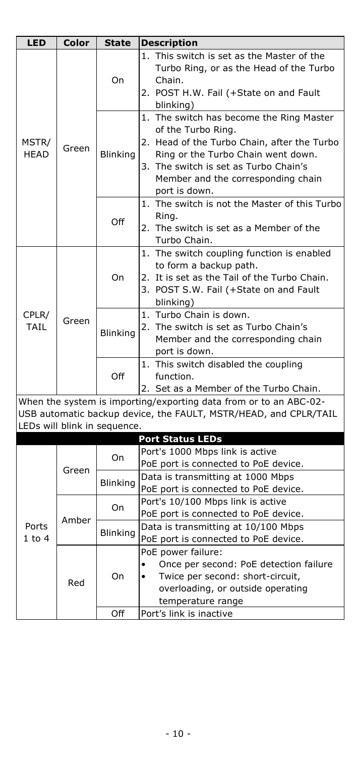| <b>LED</b>           | Color                                                                                                                                                                 | State           | <b>Description</b>                                                                                                                                                                                                                                  |  |
|----------------------|-----------------------------------------------------------------------------------------------------------------------------------------------------------------------|-----------------|-----------------------------------------------------------------------------------------------------------------------------------------------------------------------------------------------------------------------------------------------------|--|
| MSTR/<br><b>HEAD</b> | Green                                                                                                                                                                 | On              | 1. This switch is set as the Master of the<br>Turbo Ring, or as the Head of the Turbo<br>Chain.<br>2. POST H.W. Fail (+State on and Fault<br>blinking)                                                                                              |  |
|                      |                                                                                                                                                                       | <b>Blinking</b> | 1. The switch has become the Ring Master<br>of the Turbo Ring.<br>2. Head of the Turbo Chain, after the Turbo<br>Ring or the Turbo Chain went down.<br>3. The switch is set as Turbo Chain's<br>Member and the corresponding chain<br>port is down. |  |
|                      |                                                                                                                                                                       | Off             | 1. The switch is not the Master of this Turbo<br>Ring.<br>2. The switch is set as a Member of the<br>Turbo Chain.                                                                                                                                   |  |
| CPLR/<br><b>TAIL</b> | Green                                                                                                                                                                 | On              | 1. The switch coupling function is enabled<br>to form a backup path.<br>2. It is set as the Tail of the Turbo Chain.<br>3. POST S.W. Fail (+State on and Fault<br>blinking)                                                                         |  |
|                      |                                                                                                                                                                       | <b>Blinking</b> | 1. Turbo Chain is down.<br>2. The switch is set as Turbo Chain's<br>Member and the corresponding chain<br>port is down.                                                                                                                             |  |
|                      |                                                                                                                                                                       | Off             | 1. This switch disabled the coupling<br>function.<br>2. Set as a Member of the Turbo Chain.                                                                                                                                                         |  |
|                      | When the system is importing/exporting data from or to an ABC-02-<br>USB automatic backup device, the FAULT, MSTR/HEAD, and CPLR/TAIL<br>LEDs will blink in sequence. |                 |                                                                                                                                                                                                                                                     |  |
|                      |                                                                                                                                                                       |                 | <b>Port Status LEDs</b>                                                                                                                                                                                                                             |  |
|                      | Green                                                                                                                                                                 | On              | Port's 1000 Mbps link is active<br>PoE port is connected to PoE device.                                                                                                                                                                             |  |
|                      |                                                                                                                                                                       | <b>Blinking</b> | Data is transmitting at 1000 Mbps<br>PoE port is connected to PoE device.                                                                                                                                                                           |  |
|                      | Amber                                                                                                                                                                 | On              | Port's 10/100 Mbps link is active<br>PoE port is connected to PoE device.                                                                                                                                                                           |  |
| Ports<br>$1$ to $4$  |                                                                                                                                                                       | Blinking        | Data is transmitting at 10/100 Mbps<br>PoE port is connected to PoE device.                                                                                                                                                                         |  |
|                      | Red                                                                                                                                                                   | On<br>Off       | PoE power failure:<br>Once per second: PoE detection failure<br>Twice per second: short-circuit,<br>$\bullet$<br>overloading, or outside operating<br>temperature range<br>Port's link is inactive                                                  |  |
|                      |                                                                                                                                                                       |                 |                                                                                                                                                                                                                                                     |  |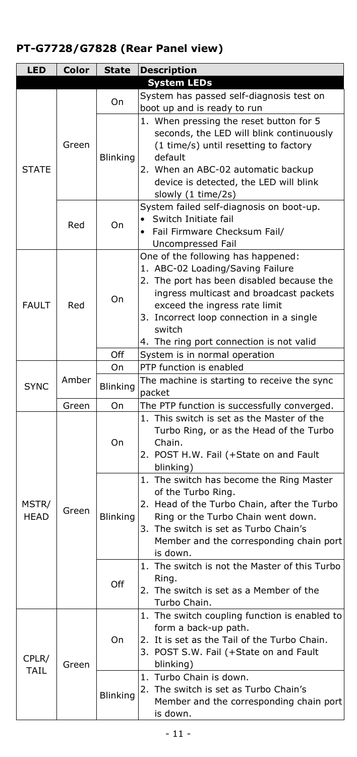# **PT-G7728/G7828 (Rear Panel view)**

| <b>LED</b>   | Color | <b>State</b>    | <b>Description</b>                                                     |
|--------------|-------|-----------------|------------------------------------------------------------------------|
|              |       |                 | <b>System LEDs</b>                                                     |
|              |       | On              | System has passed self-diagnosis test on                               |
|              |       |                 | boot up and is ready to run                                            |
|              |       |                 | 1. When pressing the reset button for 5                                |
|              |       |                 | seconds, the LED will blink continuously                               |
|              | Green |                 | (1 time/s) until resetting to factory                                  |
|              |       | Blinking        | default                                                                |
| <b>STATE</b> |       |                 | 2. When an ABC-02 automatic backup                                     |
|              |       |                 | device is detected, the LED will blink                                 |
|              |       |                 | slowly (1 time/2s)                                                     |
|              |       |                 | System failed self-diagnosis on boot-up.                               |
|              | Red   | On              | Switch Initiate fail                                                   |
|              |       |                 | Fail Firmware Checksum Fail/                                           |
|              |       |                 | Uncompressed Fail                                                      |
|              |       |                 | One of the following has happened:<br>1. ABC-02 Loading/Saving Failure |
|              |       |                 | 2. The port has been disabled because the                              |
|              |       |                 | ingress multicast and broadcast packets                                |
| <b>FAULT</b> | Red   | On              | exceed the ingress rate limit                                          |
|              |       |                 | 3. Incorrect loop connection in a single                               |
|              |       |                 | switch                                                                 |
|              |       |                 | 4. The ring port connection is not valid                               |
|              |       | Off             | System is in normal operation                                          |
|              |       | On              | PTP function is enabled                                                |
|              | Amber | <b>Blinking</b> | The machine is starting to receive the sync                            |
| <b>SYNC</b>  |       |                 | packet                                                                 |
|              | Green | On              | The PTP function is successfully converged.                            |
|              |       |                 | 1. This switch is set as the Master of the                             |
|              |       |                 | Turbo Ring, or as the Head of the Turbo                                |
|              |       | On              | Chain.                                                                 |
|              |       |                 | 2. POST H.W. Fail (+State on and Fault                                 |
|              |       |                 | blinking)                                                              |
|              |       |                 | The switch has become the Ring Master<br>1.                            |
|              |       |                 | of the Turbo Ring.                                                     |
| MSTR/        | Green |                 | 2. Head of the Turbo Chain, after the Turbo                            |
| <b>HEAD</b>  |       | Blinking        | Ring or the Turbo Chain went down.                                     |
|              |       |                 | The switch is set as Turbo Chain's<br>3.                               |
|              |       |                 | Member and the corresponding chain port<br>is down.                    |
|              |       |                 | The switch is not the Master of this Turbo<br>1.                       |
|              |       |                 | Ring.                                                                  |
|              |       | Off             | 2. The switch is set as a Member of the                                |
|              |       |                 | Turbo Chain.                                                           |
|              |       |                 | The switch coupling function is enabled to<br>1.                       |
|              |       |                 | form a back-up path.                                                   |
|              |       | On              | 2. It is set as the Tail of the Turbo Chain.                           |
|              |       |                 | 3. POST S.W. Fail (+State on and Fault                                 |
| CPLR/        | Green |                 | blinking)                                                              |
| <b>TAIL</b>  |       |                 | Turbo Chain is down.<br>1.                                             |
|              |       | Blinking        | The switch is set as Turbo Chain's<br>2.                               |
|              |       |                 | Member and the corresponding chain port                                |
|              |       |                 | is down.                                                               |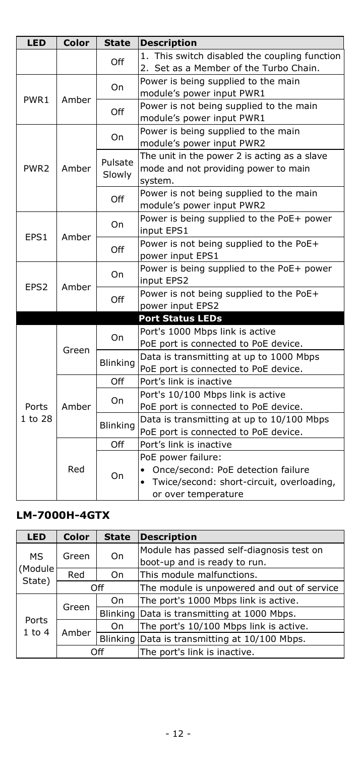| <b>LED</b>       | Color | <b>State</b>    | <b>Description</b>                                                                      |
|------------------|-------|-----------------|-----------------------------------------------------------------------------------------|
|                  |       | Off             | 1. This switch disabled the coupling function<br>2. Set as a Member of the Turbo Chain. |
|                  |       | On              | Power is being supplied to the main                                                     |
| PWR1             | Amber |                 | module's power input PWR1                                                               |
|                  |       | Off             | Power is not being supplied to the main                                                 |
|                  |       |                 | module's power input PWR1                                                               |
|                  |       | On              | Power is being supplied to the main                                                     |
|                  |       |                 | module's power input PWR2                                                               |
|                  |       | Pulsate         | The unit in the power 2 is acting as a slave                                            |
| PWR <sub>2</sub> | Amber | Slowly          | mode and not providing power to main                                                    |
|                  |       |                 | system.                                                                                 |
|                  |       | Off             | Power is not being supplied to the main                                                 |
|                  |       |                 | module's power input PWR2                                                               |
|                  |       | On              | Power is being supplied to the PoE+ power                                               |
| EPS1             | Amber |                 | input EPS1                                                                              |
|                  |       | Off             | Power is not being supplied to the PoE+                                                 |
|                  |       |                 | power input EPS1                                                                        |
|                  |       | On<br>Off       | Power is being supplied to the PoE+ power                                               |
| EPS <sub>2</sub> | Amber |                 | input EPS2                                                                              |
|                  |       |                 | Power is not being supplied to the PoE+                                                 |
|                  |       |                 | power input EPS2                                                                        |
|                  |       |                 | <b>Port Status LEDs</b>                                                                 |
|                  |       | On              | Port's 1000 Mbps link is active                                                         |
|                  | Green |                 | PoE port is connected to PoE device.                                                    |
|                  |       | Blinking        | Data is transmitting at up to 1000 Mbps                                                 |
|                  |       |                 | PoE port is connected to PoE device.                                                    |
|                  |       | Off             | Port's link is inactive                                                                 |
|                  |       | On              | Port's 10/100 Mbps link is active                                                       |
| Ports            | Amber |                 | PoE port is connected to PoE device.                                                    |
| 1 to 28          |       | <b>Blinking</b> | Data is transmitting at up to 10/100 Mbps                                               |
|                  |       |                 | PoE port is connected to PoE device.                                                    |
|                  |       | Off             | Port's link is inactive                                                                 |
|                  |       |                 | PoE power failure:                                                                      |
|                  | Red   | On              | Once/second: PoE detection failure                                                      |
|                  |       |                 | Twice/second: short-circuit, overloading,                                               |
|                  |       |                 | or over temperature                                                                     |

# **LM-7000H-4GTX**

| <b>LED</b>          | <b>Color</b> | <b>State</b> | <b>Description</b>                            |
|---------------------|--------------|--------------|-----------------------------------------------|
| MS.                 | Green        | On           | Module has passed self-diagnosis test on      |
| (Module             |              |              | boot-up and is ready to run.                  |
| State)              | Red          | On           | This module malfunctions.                     |
|                     | Off          |              | The module is unpowered and out of service    |
| Ports<br>$1$ to $4$ | Green        | On           | The port's 1000 Mbps link is active.          |
|                     |              |              | Blinking Data is transmitting at 1000 Mbps.   |
|                     | Amber        | On           | The port's 10/100 Mbps link is active.        |
|                     |              |              | Blinking Data is transmitting at 10/100 Mbps. |
|                     | Off          |              | The port's link is inactive.                  |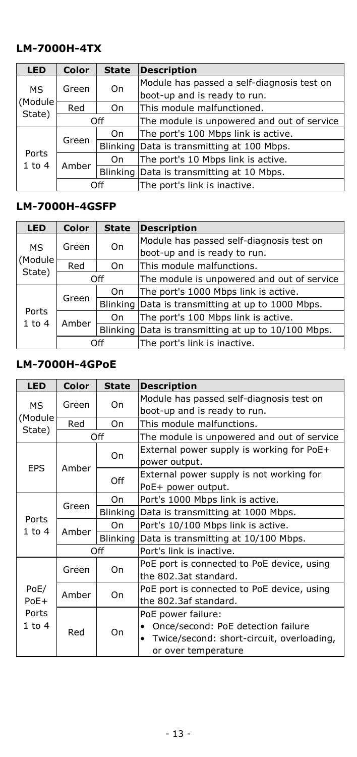#### **LM-7000H-4TX**

| <b>LED</b>          | <b>Color</b> | <b>State</b> | <b>Description</b>                         |
|---------------------|--------------|--------------|--------------------------------------------|
| MS.                 | Green        | On           | Module has passed a self-diagnosis test on |
|                     |              |              | boot-up and is ready to run.               |
| (Module)<br>State)  | Red          | On           | This module malfunctioned.                 |
|                     | Off          |              | The module is unpowered and out of service |
| Ports<br>$1$ to $4$ | Green        | On           | The port's 100 Mbps link is active.        |
|                     |              |              | Blinking Data is transmitting at 100 Mbps. |
|                     | Amber        | On           | The port's 10 Mbps link is active.         |
|                     |              |              | Blinking Data is transmitting at 10 Mbps.  |
|                     | Off          |              | The port's link is inactive.               |

# **LM-7000H-4GSFP**

| <b>LED</b>          | <b>Color</b> | <b>State</b> | <b>Description</b>                                  |
|---------------------|--------------|--------------|-----------------------------------------------------|
| MS.                 | Green        | On           | Module has passed self-diagnosis test on            |
| (Module             |              |              | boot-up and is ready to run.                        |
| State)              | Red          | On           | This module malfunctions.                           |
|                     | Off          |              | The module is unpowered and out of service          |
| Ports<br>$1$ to $4$ | Green        | On           | The port's 1000 Mbps link is active.                |
|                     |              |              | Blinking Data is transmitting at up to 1000 Mbps.   |
|                     | Amber        | On.          | The port's 100 Mbps link is active.                 |
|                     |              |              | Blinking Data is transmitting at up to 10/100 Mbps. |
|                     |              | Off          | The port's link is inactive.                        |

#### **LM-7000H-4GPoE**

| <b>LED</b>                    | Color | <b>State</b> | <b>Description</b>                            |
|-------------------------------|-------|--------------|-----------------------------------------------|
| MS.                           | Green | On           | Module has passed self-diagnosis test on      |
|                               |       |              | boot-up and is ready to run.                  |
| (Module<br>State)             | Red   | On           | This module malfunctions.                     |
|                               |       | Off          | The module is unpowered and out of service    |
|                               |       | On           | External power supply is working for PoE+     |
| <b>EPS</b>                    | Amber |              | power output.                                 |
|                               |       | Off          | External power supply is not working for      |
|                               |       |              | PoE+ power output.                            |
|                               | Green | On           | Port's 1000 Mbps link is active.              |
|                               |       |              | Blinking Data is transmitting at 1000 Mbps.   |
| Ports<br>$1$ to $4$           | Amber | On           | Port's 10/100 Mbps link is active.            |
|                               |       |              | Blinking Data is transmitting at 10/100 Mbps. |
|                               | Off   |              | Port's link is inactive.                      |
|                               | Green |              | PoE port is connected to PoE device, using    |
|                               |       | On           | the 802.3at standard.                         |
| PoE/                          | Amber | On           | PoE port is connected to PoE device, using    |
| $PoE+$<br>Ports<br>$1$ to $4$ |       |              | the 802.3af standard.                         |
|                               |       |              | PoE power failure:                            |
|                               | Red   | On           | Once/second: PoE detection failure            |
|                               |       |              | Twice/second: short-circuit, overloading,     |
|                               |       |              | or over temperature                           |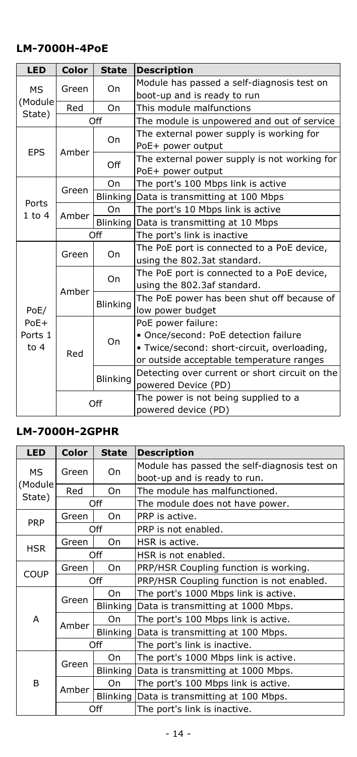#### **LM-7000H-4PoE**

| <b>LED</b> | Color | <b>State</b>    | <b>Description</b>                             |
|------------|-------|-----------------|------------------------------------------------|
| МS         | Green | On              | Module has passed a self-diagnosis test on     |
| (Module    |       |                 | boot-up and is ready to run                    |
| State)     | Red   | On              | This module malfunctions                       |
|            |       | Off             | The module is unpowered and out of service     |
|            |       | On              | The external power supply is working for       |
| <b>EPS</b> | Amber |                 | PoE+ power output                              |
|            |       | Off             | The external power supply is not working for   |
|            |       |                 | PoE+ power output                              |
|            | Green | On              | The port's 100 Mbps link is active             |
| Ports      |       | <b>Blinking</b> | Data is transmitting at 100 Mbps               |
| $1$ to $4$ | Amber | On              | The port's 10 Mbps link is active              |
|            |       |                 | Blinking Data is transmitting at 10 Mbps       |
|            | Off   |                 | The port's link is inactive                    |
|            |       | On              | The PoE port is connected to a PoE device,     |
|            | Green |                 | using the 802.3at standard.                    |
|            | Amber | On              | The PoE port is connected to a PoE device,     |
|            |       |                 | using the 802.3af standard.                    |
|            |       | Blinking        | The PoE power has been shut off because of     |
| PoE/       |       |                 | low power budget                               |
| $PoE+$     |       |                 | PoE power failure:                             |
| Ports 1    |       | On              | • Once/second: PoE detection failure           |
| to $4$     | Red   |                 | · Twice/second: short-circuit, overloading,    |
|            |       |                 | or outside acceptable temperature ranges       |
|            |       | <b>Blinking</b> | Detecting over current or short circuit on the |
|            |       |                 | powered Device (PD)                            |
|            |       | Off             | The power is not being supplied to a           |
|            |       |                 | powered device (PD)                            |

#### **LM-7000H-2GPHR**

| <b>LED</b>  | <b>Color</b> | <b>State</b>    | <b>Description</b>                           |
|-------------|--------------|-----------------|----------------------------------------------|
| MS.         | Green        | On              | Module has passed the self-diagnosis test on |
|             |              |                 | boot-up and is ready to run.                 |
| (Module)    | Red          | On              | The module has malfunctioned.                |
| State)      |              | Off             | The module does not have power.              |
| <b>PRP</b>  | Green        | On              | PRP is active.                               |
|             |              | Off             | PRP is not enabled.                          |
| <b>HSR</b>  | Green        | On              | HSR is active.                               |
|             |              | Off             | HSR is not enabled.                          |
| <b>COUP</b> | Green        | On              | PRP/HSR Coupling function is working.        |
|             | Off          |                 | PRP/HSR Coupling function is not enabled.    |
|             | Green        | On              | The port's 1000 Mbps link is active.         |
|             |              | <b>Blinking</b> | Data is transmitting at 1000 Mbps.           |
| A           | Amber        | On              | The port's 100 Mbps link is active.          |
|             |              | <b>Blinking</b> | Data is transmitting at 100 Mbps.            |
|             |              | Off             | The port's link is inactive.                 |
|             |              | On              | The port's 1000 Mbps link is active.         |
|             | Green        |                 | Blinking Data is transmitting at 1000 Mbps.  |
| B           |              | On              | The port's 100 Mbps link is active.          |
|             | Amber        | <b>Blinking</b> | Data is transmitting at 100 Mbps.            |
|             |              | Off             | The port's link is inactive.                 |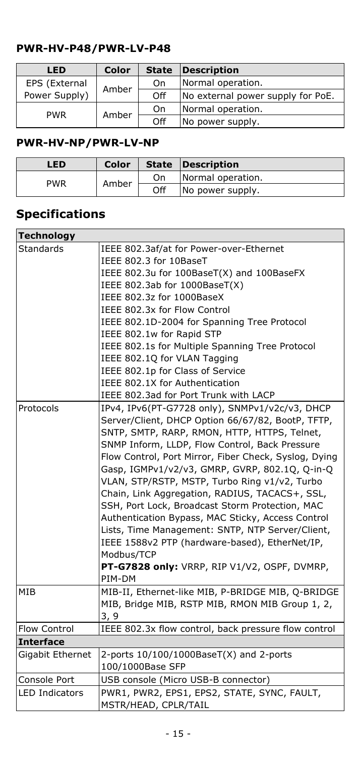#### **PWR-HV-P48/PWR-LV-P48**

| <b>LED</b>    | Color | <b>State</b> | <b>Description</b>                |
|---------------|-------|--------------|-----------------------------------|
| EPS (External | Amber | On           | Normal operation.                 |
| Power Supply) |       | Off          | No external power supply for PoE. |
| <b>PWR</b>    |       | On           | Normal operation.                 |
|               | Amber | Off          | No power supply.                  |

## **PWR-HV-NP/PWR-LV-NP**

| LED        | Color |     | <b>State Description</b> |
|------------|-------|-----|--------------------------|
| <b>PWR</b> | Amber | On  | Normal operation.        |
|            |       | Off | No power supply.         |

# **Specifications**

| <b>Technology</b>             |                                                                                                                                                                                                                                                                                                                                                                                                                                                                                                                                                                                                                                                         |
|-------------------------------|---------------------------------------------------------------------------------------------------------------------------------------------------------------------------------------------------------------------------------------------------------------------------------------------------------------------------------------------------------------------------------------------------------------------------------------------------------------------------------------------------------------------------------------------------------------------------------------------------------------------------------------------------------|
| <b>Standards</b><br>Protocols | IEEE 802.3af/at for Power-over-Ethernet<br>IEEE 802.3 for 10BaseT<br>IEEE 802.3u for 100BaseT(X) and 100BaseFX<br>IEEE 802.3ab for 1000BaseT(X)<br>IEEE 802.3z for 1000BaseX<br>IEEE 802.3x for Flow Control<br>IEEE 802.1D-2004 for Spanning Tree Protocol<br>IEEE 802.1w for Rapid STP<br>IEEE 802.1s for Multiple Spanning Tree Protocol<br>IEEE 802.1Q for VLAN Tagging<br>IEEE 802.1p for Class of Service<br>IEEE 802.1X for Authentication<br>IEEE 802.3ad for Port Trunk with LACP<br>IPv4, IPv6(PT-G7728 only), SNMPv1/v2c/v3, DHCP                                                                                                            |
|                               | Server/Client, DHCP Option 66/67/82, BootP, TFTP,<br>SNTP, SMTP, RARP, RMON, HTTP, HTTPS, Telnet,<br>SNMP Inform, LLDP, Flow Control, Back Pressure<br>Flow Control, Port Mirror, Fiber Check, Syslog, Dying<br>Gasp, IGMPv1/v2/v3, GMRP, GVRP, 802.1Q, Q-in-Q<br>VLAN, STP/RSTP, MSTP, Turbo Ring v1/v2, Turbo<br>Chain, Link Aggregation, RADIUS, TACACS+, SSL,<br>SSH, Port Lock, Broadcast Storm Protection, MAC<br>Authentication Bypass, MAC Sticky, Access Control<br>Lists, Time Management: SNTP, NTP Server/Client,<br>IEEE 1588v2 PTP (hardware-based), EtherNet/IP,<br>Modbus/TCP<br>PT-G7828 only: VRRP, RIP V1/V2, OSPF, DVMRP,<br>PIM-DM |
| MIB                           | MIB-II, Ethernet-like MIB, P-BRIDGE MIB, Q-BRIDGE<br>MIB, Bridge MIB, RSTP MIB, RMON MIB Group 1, 2,<br>3, 9                                                                                                                                                                                                                                                                                                                                                                                                                                                                                                                                            |
| <b>Flow Control</b>           | IEEE 802.3x flow control, back pressure flow control                                                                                                                                                                                                                                                                                                                                                                                                                                                                                                                                                                                                    |
| <b>Interface</b>              |                                                                                                                                                                                                                                                                                                                                                                                                                                                                                                                                                                                                                                                         |
| Gigabit Ethernet              | 2-ports 10/100/1000BaseT(X) and 2-ports<br>100/1000Base SFP                                                                                                                                                                                                                                                                                                                                                                                                                                                                                                                                                                                             |
| Console Port                  | USB console (Micro USB-B connector)                                                                                                                                                                                                                                                                                                                                                                                                                                                                                                                                                                                                                     |
| <b>LED Indicators</b>         | PWR1, PWR2, EPS1, EPS2, STATE, SYNC, FAULT,<br>MSTR/HEAD, CPLR/TAIL                                                                                                                                                                                                                                                                                                                                                                                                                                                                                                                                                                                     |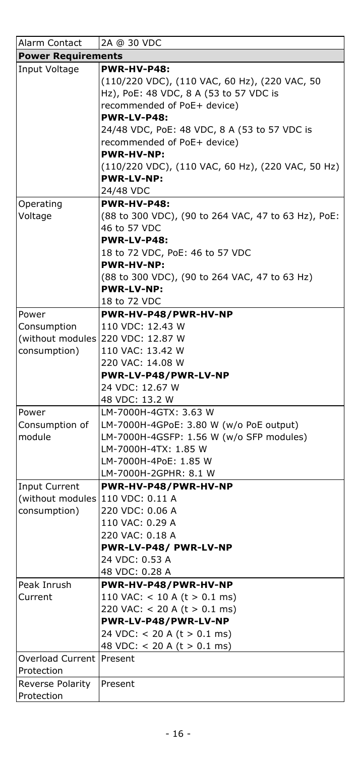| Alarm Contact                    | 2A @ 30 VDC                                         |  |  |  |
|----------------------------------|-----------------------------------------------------|--|--|--|
| <b>Power Requirements</b>        |                                                     |  |  |  |
| Input Voltage                    | PWR-HV-P48:                                         |  |  |  |
|                                  | (110/220 VDC), (110 VAC, 60 Hz), (220 VAC, 50       |  |  |  |
|                                  | Hz), PoE: 48 VDC, 8 A (53 to 57 VDC is              |  |  |  |
|                                  | recommended of PoE+ device)                         |  |  |  |
|                                  | PWR-LV-P48:                                         |  |  |  |
|                                  | 24/48 VDC, PoE: 48 VDC, 8 A (53 to 57 VDC is        |  |  |  |
|                                  | recommended of PoE+ device)                         |  |  |  |
|                                  | <b>PWR-HV-NP:</b>                                   |  |  |  |
|                                  | (110/220 VDC), (110 VAC, 60 Hz), (220 VAC, 50 Hz)   |  |  |  |
|                                  | <b>PWR-LV-NP:</b>                                   |  |  |  |
|                                  | 24/48 VDC                                           |  |  |  |
| Operating                        | PWR-HV-P48:                                         |  |  |  |
| Voltage                          | (88 to 300 VDC), (90 to 264 VAC, 47 to 63 Hz), PoE: |  |  |  |
|                                  | 46 to 57 VDC                                        |  |  |  |
|                                  | PWR-LV-P48:                                         |  |  |  |
|                                  | 18 to 72 VDC, PoE: 46 to 57 VDC                     |  |  |  |
|                                  | PWR-HV-NP:                                          |  |  |  |
|                                  | (88 to 300 VDC), (90 to 264 VAC, 47 to 63 Hz)       |  |  |  |
|                                  | <b>PWR-LV-NP:</b>                                   |  |  |  |
|                                  | 18 to 72 VDC                                        |  |  |  |
| Power                            | PWR-HV-P48/PWR-HV-NP                                |  |  |  |
| Consumption                      | 110 VDC: 12.43 W                                    |  |  |  |
|                                  | (without modules 220 VDC: 12.87 W                   |  |  |  |
| consumption)                     | 110 VAC: 13.42 W                                    |  |  |  |
|                                  | 220 VAC: 14.08 W                                    |  |  |  |
|                                  | PWR-LV-P48/PWR-LV-NP                                |  |  |  |
|                                  | 24 VDC: 12.67 W                                     |  |  |  |
|                                  | 48 VDC: 13.2 W                                      |  |  |  |
| Power                            | LM-7000H-4GTX: 3.63 W                               |  |  |  |
| Consumption of                   | LM-7000H-4GPoE: 3.80 W (w/o PoE output)             |  |  |  |
| module                           | LM-7000H-4GSFP: 1.56 W (w/o SFP modules)            |  |  |  |
|                                  | LM-7000H-4TX: 1.85 W                                |  |  |  |
|                                  | LM-7000H-4PoE: 1.85 W                               |  |  |  |
|                                  | LM-7000H-2GPHR: 8.1 W                               |  |  |  |
| <b>Input Current</b>             | PWR-HV-P48/PWR-HV-NP                                |  |  |  |
| (without modules 110 VDC: 0.11 A |                                                     |  |  |  |
| consumption)                     | 220 VDC: 0.06 A                                     |  |  |  |
|                                  | 110 VAC: 0.29 A                                     |  |  |  |
|                                  | 220 VAC: 0.18 A                                     |  |  |  |
|                                  | PWR-LV-P48/ PWR-LV-NP                               |  |  |  |
|                                  | 24 VDC: 0.53 A                                      |  |  |  |
|                                  | 48 VDC: 0.28 A                                      |  |  |  |
| Peak Inrush                      | PWR-HV-P48/PWR-HV-NP                                |  |  |  |
| Current                          | 110 VAC: $<$ 10 A (t $>$ 0.1 ms)                    |  |  |  |
|                                  | 220 VAC: < 20 A ( $t > 0.1$ ms)                     |  |  |  |
|                                  | PWR-LV-P48/PWR-LV-NP                                |  |  |  |
|                                  | 24 VDC: $<$ 20 A (t $>$ 0.1 ms)                     |  |  |  |
|                                  | 48 VDC: < 20 A (t > 0.1 ms)                         |  |  |  |
| <b>Overload Current Present</b>  |                                                     |  |  |  |
| Protection                       |                                                     |  |  |  |
| Reverse Polarity<br>Protection   | Present                                             |  |  |  |
|                                  |                                                     |  |  |  |